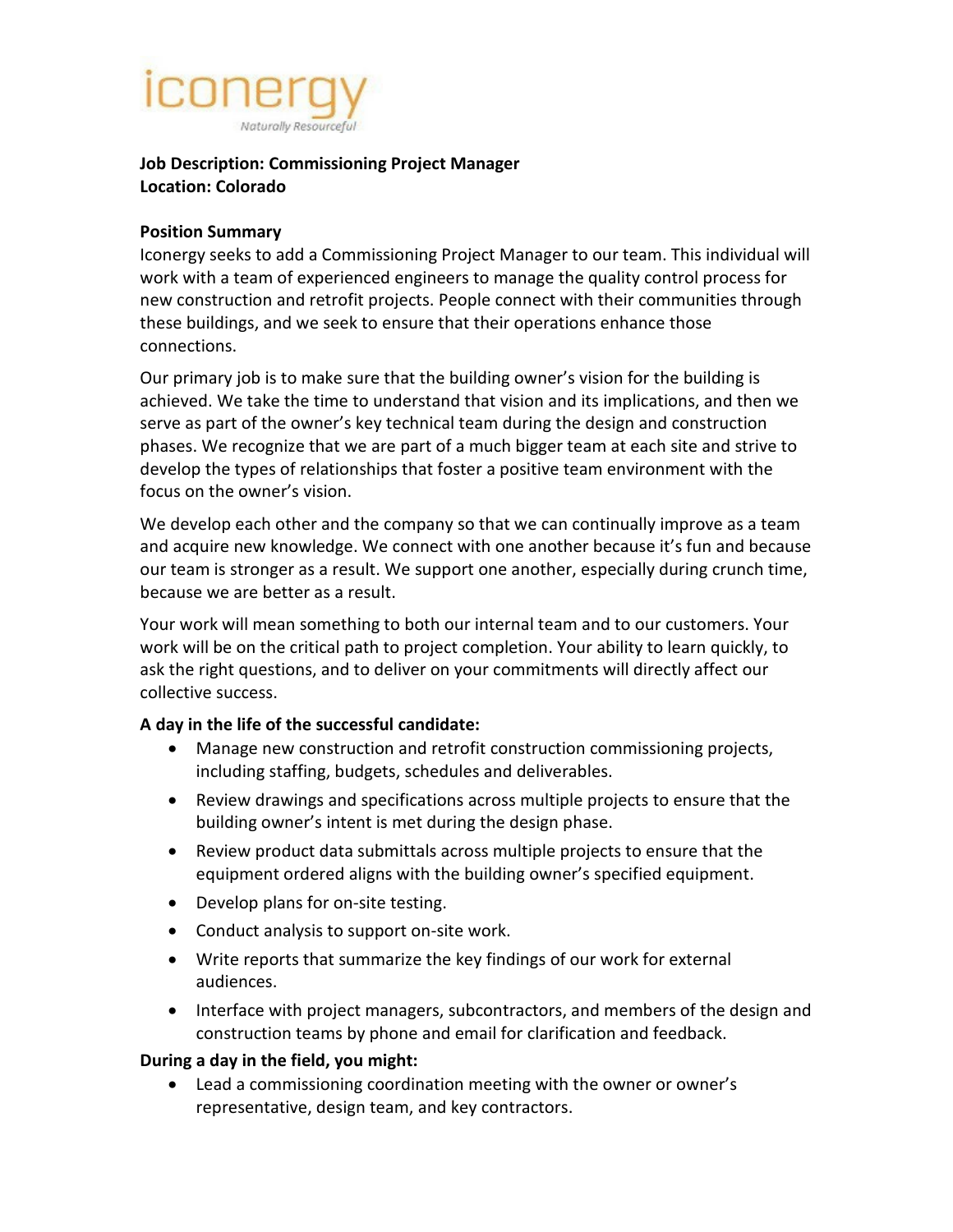# Naturally Resourceful

# **Job Description: Commissioning Project Manager Location: Colorado**

### **Position Summary**

Iconergy seeks to add a Commissioning Project Manager to our team. This individual will work with a team of experienced engineers to manage the quality control process for new construction and retrofit projects. People connect with their communities through these buildings, and we seek to ensure that their operations enhance those connections.

Our primary job is to make sure that the building owner's vision for the building is achieved. We take the time to understand that vision and its implications, and then we serve as part of the owner's key technical team during the design and construction phases. We recognize that we are part of a much bigger team at each site and strive to develop the types of relationships that foster a positive team environment with the focus on the owner's vision.

We develop each other and the company so that we can continually improve as a team and acquire new knowledge. We connect with one another because it's fun and because our team is stronger as a result. We support one another, especially during crunch time, because we are better as a result.

Your work will mean something to both our internal team and to our customers. Your work will be on the critical path to project completion. Your ability to learn quickly, to ask the right questions, and to deliver on your commitments will directly affect our collective success.

## **A day in the life of the successful candidate:**

- Manage new construction and retrofit construction commissioning projects, including staffing, budgets, schedules and deliverables.
- Review drawings and specifications across multiple projects to ensure that the building owner's intent is met during the design phase.
- Review product data submittals across multiple projects to ensure that the equipment ordered aligns with the building owner's specified equipment.
- Develop plans for on-site testing.
- Conduct analysis to support on-site work.
- Write reports that summarize the key findings of our work for external audiences.
- Interface with project managers, subcontractors, and members of the design and construction teams by phone and email for clarification and feedback.

## **During a day in the field, you might:**

• Lead a commissioning coordination meeting with the owner or owner's representative, design team, and key contractors.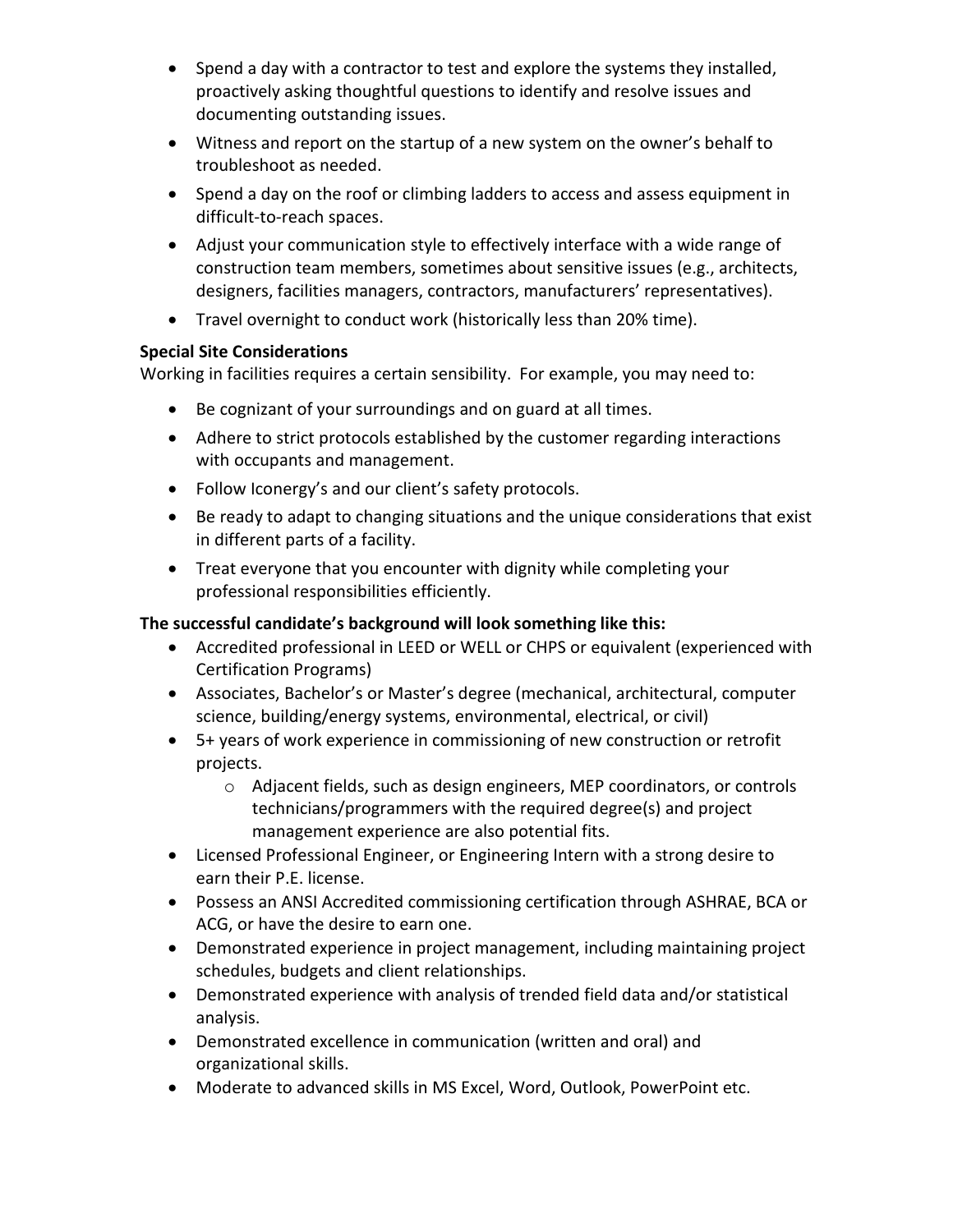- Spend a day with a contractor to test and explore the systems they installed, proactively asking thoughtful questions to identify and resolve issues and documenting outstanding issues.
- Witness and report on the startup of a new system on the owner's behalf to troubleshoot as needed.
- Spend a day on the roof or climbing ladders to access and assess equipment in difficult-to-reach spaces.
- Adjust your communication style to effectively interface with a wide range of construction team members, sometimes about sensitive issues (e.g., architects, designers, facilities managers, contractors, manufacturers' representatives).
- Travel overnight to conduct work (historically less than 20% time).

# **Special Site Considerations**

Working in facilities requires a certain sensibility. For example, you may need to:

- Be cognizant of your surroundings and on guard at all times.
- Adhere to strict protocols established by the customer regarding interactions with occupants and management.
- Follow Iconergy's and our client's safety protocols.
- Be ready to adapt to changing situations and the unique considerations that exist in different parts of a facility.
- Treat everyone that you encounter with dignity while completing your professional responsibilities efficiently.

# **The successful candidate's background will look something like this:**

- Accredited professional in LEED or WELL or CHPS or equivalent (experienced with Certification Programs)
- Associates, Bachelor's or Master's degree (mechanical, architectural, computer science, building/energy systems, environmental, electrical, or civil)
- 5+ years of work experience in commissioning of new construction or retrofit projects.
	- o Adjacent fields, such as design engineers, MEP coordinators, or controls technicians/programmers with the required degree(s) and project management experience are also potential fits.
- Licensed Professional Engineer, or Engineering Intern with a strong desire to earn their P.E. license.
- Possess an ANSI Accredited commissioning certification through ASHRAE, BCA or ACG, or have the desire to earn one.
- Demonstrated experience in project management, including maintaining project schedules, budgets and client relationships.
- Demonstrated experience with analysis of trended field data and/or statistical analysis.
- Demonstrated excellence in communication (written and oral) and organizational skills.
- Moderate to advanced skills in MS Excel, Word, Outlook, PowerPoint etc.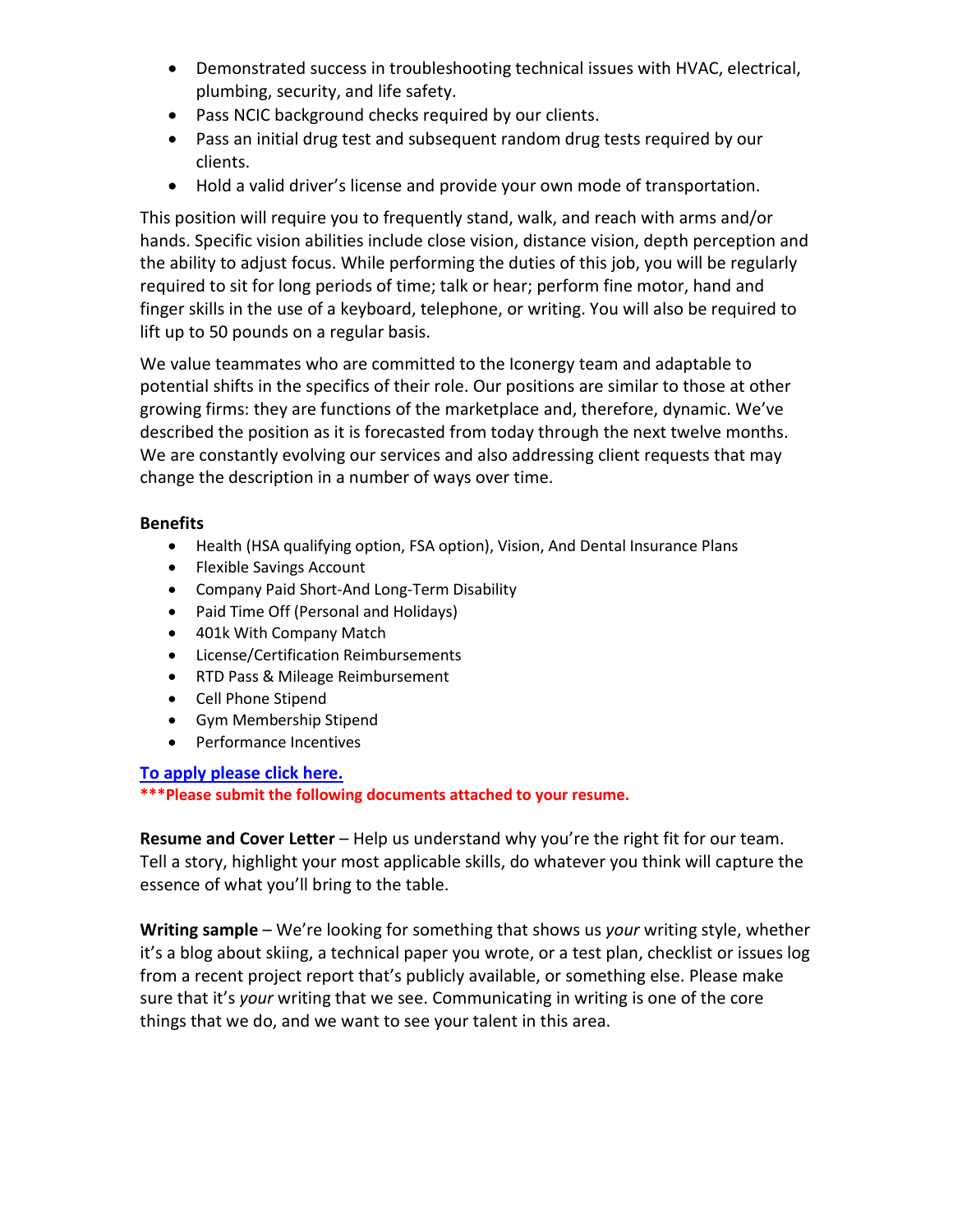- Demonstrated success in troubleshooting technical issues with HVAC, electrical, plumbing, security, and life safety.
- Pass NCIC background checks required by our clients.
- Pass an initial drug test and subsequent random drug tests required by our clients.
- Hold a valid driver's license and provide your own mode of transportation.

This position will require you to frequently stand, walk, and reach with arms and/or hands. Specific vision abilities include close vision, distance vision, depth perception and the ability to adjust focus. While performing the duties of this job, you will be regularly required to sit for long periods of time; talk or hear; perform fine motor, hand and finger skills in the use of a keyboard, telephone, or writing. You will also be required to lift up to 50 pounds on a regular basis.

We value teammates who are committed to the Iconergy team and adaptable to potential shifts in the specifics of their role. Our positions are similar to those at other growing firms: they are functions of the marketplace and, therefore, dynamic. We've described the position as it is forecasted from today through the next twelve months. We are constantly evolving our services and also addressing client requests that may change the description in a number of ways over time.

#### **Benefits**

- Health (HSA qualifying option, FSA option), Vision, And Dental Insurance Plans
- Flexible Savings Account
- Company Paid Short-And Long-Term Disability
- Paid Time Off (Personal and Holidays)
- 401k With Company Match
- License/Certification Reimbursements
- RTD Pass & Mileage Reimbursement
- Cell Phone Stipend
- Gym Membership Stipend
- Performance Incentives

#### **To apply [please click here.](https://iconergy.bamboohr.com/jobs/view.php?id=34&source=aWQ9Nw%3D%3D)**

**\*\*\*Please submit the following documents attached to your resume.** 

**Resume and Cover Letter** – Help us understand why you're the right fit for our team. Tell a story, highlight your most applicable skills, do whatever you think will capture the essence of what you'll bring to the table.

**Writing sample** – We're looking for something that shows us *your* writing style, whether it's a blog about skiing, a technical paper you wrote, or a test plan, checklist or issues log from a recent project report that's publicly available, or something else. Please make sure that it's *your* writing that we see. Communicating in writing is one of the core things that we do, and we want to see your talent in this area.